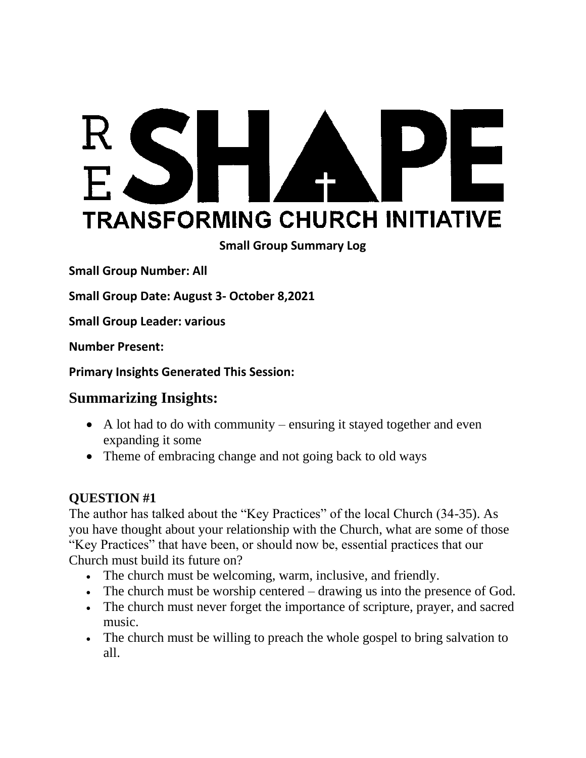# RSH PE **TRANSFORMING CHURCH INITIATIVE**

**Small Group Summary Log**

**Small Group Number: All**

**Small Group Date: August 3- October 8,2021**

**Small Group Leader: various**

**Number Present:** 

**Primary Insights Generated This Session:** 

# **Summarizing Insights:**

- A lot had to do with community ensuring it stayed together and even expanding it some
- Theme of embracing change and not going back to old ways

#### **QUESTION #1**

The author has talked about the "Key Practices" of the local Church (34-35). As you have thought about your relationship with the Church, what are some of those "Key Practices" that have been, or should now be, essential practices that our Church must build its future on?

- The church must be welcoming, warm, inclusive, and friendly.
- The church must be worship centered drawing us into the presence of God.
- The church must never forget the importance of scripture, prayer, and sacred music.
- The church must be willing to preach the whole gospel to bring salvation to all.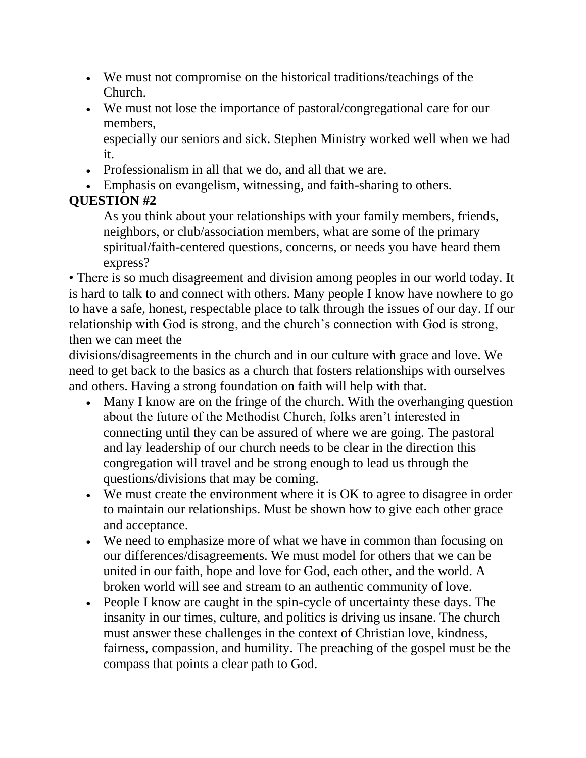- We must not compromise on the historical traditions/teachings of the Church.
- We must not lose the importance of pastoral/congregational care for our members,

especially our seniors and sick. Stephen Ministry worked well when we had it.

- Professionalism in all that we do, and all that we are.
- Emphasis on evangelism, witnessing, and faith-sharing to others.

# **QUESTION #2**

As you think about your relationships with your family members, friends, neighbors, or club/association members, what are some of the primary spiritual/faith-centered questions, concerns, or needs you have heard them express?

• There is so much disagreement and division among peoples in our world today. It is hard to talk to and connect with others. Many people I know have nowhere to go to have a safe, honest, respectable place to talk through the issues of our day. If our relationship with God is strong, and the church's connection with God is strong, then we can meet the

divisions/disagreements in the church and in our culture with grace and love. We need to get back to the basics as a church that fosters relationships with ourselves and others. Having a strong foundation on faith will help with that.

- Many I know are on the fringe of the church. With the overhanging question about the future of the Methodist Church, folks aren't interested in connecting until they can be assured of where we are going. The pastoral and lay leadership of our church needs to be clear in the direction this congregation will travel and be strong enough to lead us through the questions/divisions that may be coming.
- We must create the environment where it is OK to agree to disagree in order to maintain our relationships. Must be shown how to give each other grace and acceptance.
- We need to emphasize more of what we have in common than focusing on our differences/disagreements. We must model for others that we can be united in our faith, hope and love for God, each other, and the world. A broken world will see and stream to an authentic community of love.
- People I know are caught in the spin-cycle of uncertainty these days. The insanity in our times, culture, and politics is driving us insane. The church must answer these challenges in the context of Christian love, kindness, fairness, compassion, and humility. The preaching of the gospel must be the compass that points a clear path to God.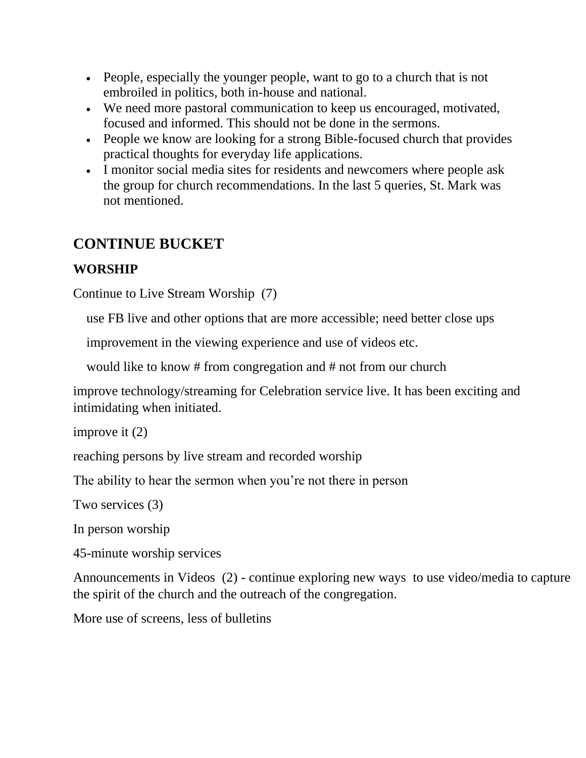- People, especially the younger people, want to go to a church that is not embroiled in politics, both in-house and national.
- We need more pastoral communication to keep us encouraged, motivated, focused and informed. This should not be done in the sermons.
- People we know are looking for a strong Bible-focused church that provides practical thoughts for everyday life applications.
- I monitor social media sites for residents and newcomers where people ask the group for church recommendations. In the last 5 queries, St. Mark was not mentioned.

# **CONTINUE BUCKET**

# **WORSHIP**

Continue to Live Stream Worship (7)

use FB live and other options that are more accessible; need better close ups

improvement in the viewing experience and use of videos etc.

would like to know # from congregation and # not from our church

improve technology/streaming for Celebration service live. It has been exciting and intimidating when initiated.

improve it (2)

reaching persons by live stream and recorded worship

The ability to hear the sermon when you're not there in person

Two services (3)

In person worship

45-minute worship services

Announcements in Videos (2) - continue exploring new ways to use video/media to capture the spirit of the church and the outreach of the congregation.

More use of screens, less of bulletins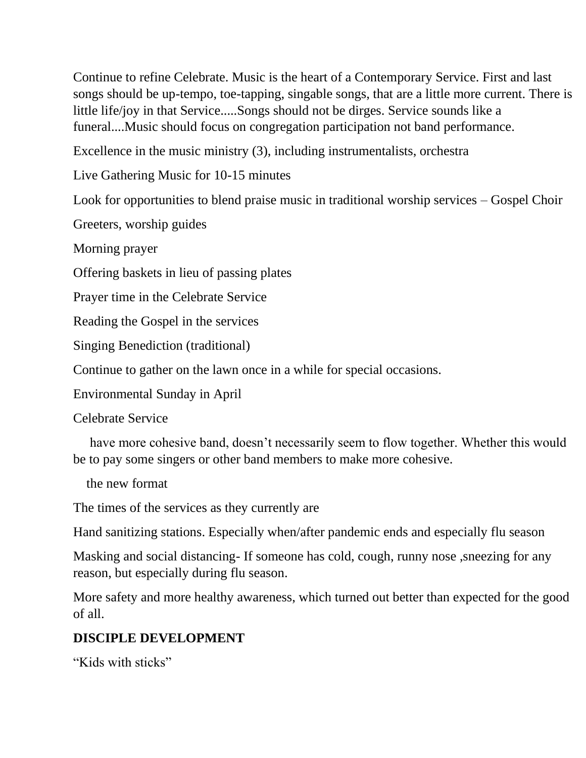Continue to refine Celebrate. Music is the heart of a Contemporary Service. First and last songs should be up-tempo, toe-tapping, singable songs, that are a little more current. There is little life/joy in that Service.....Songs should not be dirges. Service sounds like a funeral....Music should focus on congregation participation not band performance.

Excellence in the music ministry (3), including instrumentalists, orchestra

Live Gathering Music for 10-15 minutes

Look for opportunities to blend praise music in traditional worship services – Gospel Choir

Greeters, worship guides

Morning prayer

Offering baskets in lieu of passing plates

Prayer time in the Celebrate Service

Reading the Gospel in the services

Singing Benediction (traditional)

Continue to gather on the lawn once in a while for special occasions.

Environmental Sunday in April

Celebrate Service

 have more cohesive band, doesn't necessarily seem to flow together. Whether this would be to pay some singers or other band members to make more cohesive.

the new format

The times of the services as they currently are

Hand sanitizing stations. Especially when/after pandemic ends and especially flu season

Masking and social distancing- If someone has cold, cough, runny nose ,sneezing for any reason, but especially during flu season.

More safety and more healthy awareness, which turned out better than expected for the good of all.

## **DISCIPLE DEVELOPMENT**

"Kids with sticks"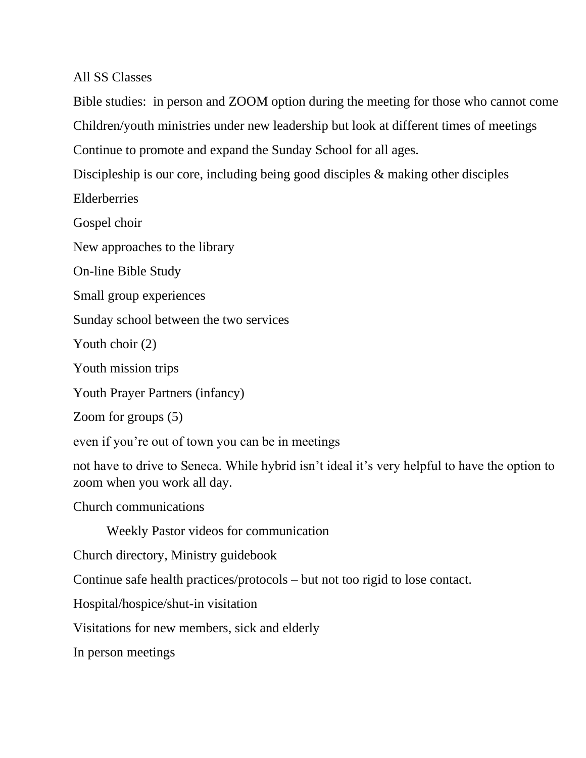#### All SS Classes

Bible studies: in person and ZOOM option during the meeting for those who cannot come Children/youth ministries under new leadership but look at different times of meetings Continue to promote and expand the Sunday School for all ages.

Discipleship is our core, including being good disciples & making other disciples

Elderberries

Gospel choir

New approaches to the library

On-line Bible Study

Small group experiences

Sunday school between the two services

Youth choir (2)

Youth mission trips

Youth Prayer Partners (infancy)

Zoom for groups (5)

even if you're out of town you can be in meetings

not have to drive to Seneca. While hybrid isn't ideal it's very helpful to have the option to zoom when you work all day.

Church communications

Weekly Pastor videos for communication

Church directory, Ministry guidebook

Continue safe health practices/protocols – but not too rigid to lose contact.

Hospital/hospice/shut-in visitation

Visitations for new members, sick and elderly

In person meetings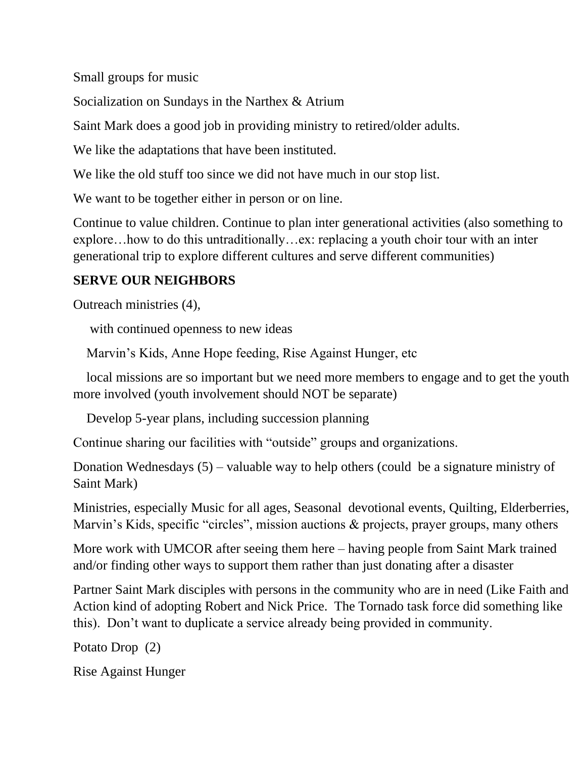Small groups for music

Socialization on Sundays in the Narthex & Atrium

Saint Mark does a good job in providing ministry to retired/older adults.

We like the adaptations that have been instituted.

We like the old stuff too since we did not have much in our stop list.

We want to be together either in person or on line.

Continue to value children. Continue to plan inter generational activities (also something to explore…how to do this untraditionally…ex: replacing a youth choir tour with an inter generational trip to explore different cultures and serve different communities)

# **SERVE OUR NEIGHBORS**

Outreach ministries (4),

with continued openness to new ideas

Marvin's Kids, Anne Hope feeding, Rise Against Hunger, etc

 local missions are so important but we need more members to engage and to get the youth more involved (youth involvement should NOT be separate)

Develop 5-year plans, including succession planning

Continue sharing our facilities with "outside" groups and organizations.

Donation Wednesdays (5) – valuable way to help others (could be a signature ministry of Saint Mark)

Ministries, especially Music for all ages, Seasonal devotional events, Quilting, Elderberries, Marvin's Kids, specific "circles", mission auctions & projects, prayer groups, many others

More work with UMCOR after seeing them here – having people from Saint Mark trained and/or finding other ways to support them rather than just donating after a disaster

Partner Saint Mark disciples with persons in the community who are in need (Like Faith and Action kind of adopting Robert and Nick Price. The Tornado task force did something like this). Don't want to duplicate a service already being provided in community.

Potato Drop (2)

Rise Against Hunger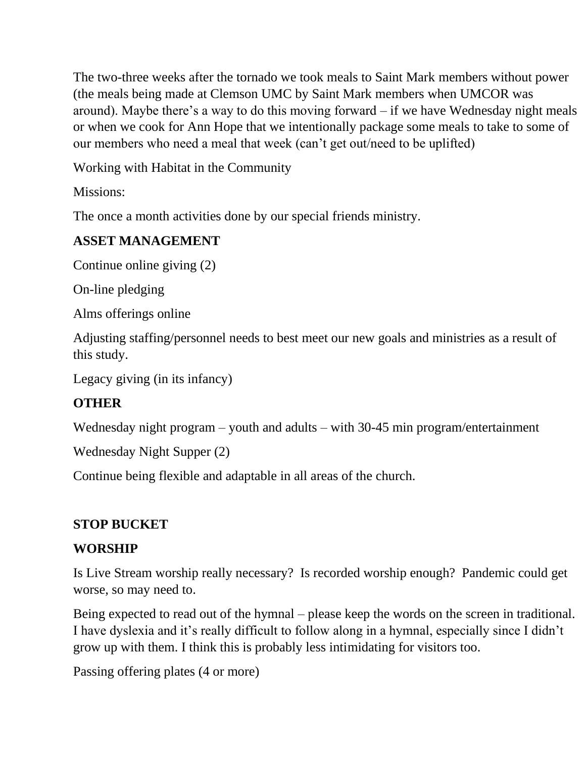The two-three weeks after the tornado we took meals to Saint Mark members without power (the meals being made at Clemson UMC by Saint Mark members when UMCOR was around). Maybe there's a way to do this moving forward – if we have Wednesday night meals or when we cook for Ann Hope that we intentionally package some meals to take to some of our members who need a meal that week (can't get out/need to be uplifted)

Working with Habitat in the Community

Missions:

The once a month activities done by our special friends ministry.

# **ASSET MANAGEMENT**

Continue online giving (2)

On-line pledging

Alms offerings online

Adjusting staffing/personnel needs to best meet our new goals and ministries as a result of this study.

Legacy giving (in its infancy)

# **OTHER**

Wednesday night program – youth and adults – with 30-45 min program/entertainment

Wednesday Night Supper (2)

Continue being flexible and adaptable in all areas of the church.

# **STOP BUCKET**

# **WORSHIP**

Is Live Stream worship really necessary? Is recorded worship enough? Pandemic could get worse, so may need to.

Being expected to read out of the hymnal – please keep the words on the screen in traditional. I have dyslexia and it's really difficult to follow along in a hymnal, especially since I didn't grow up with them. I think this is probably less intimidating for visitors too.

Passing offering plates (4 or more)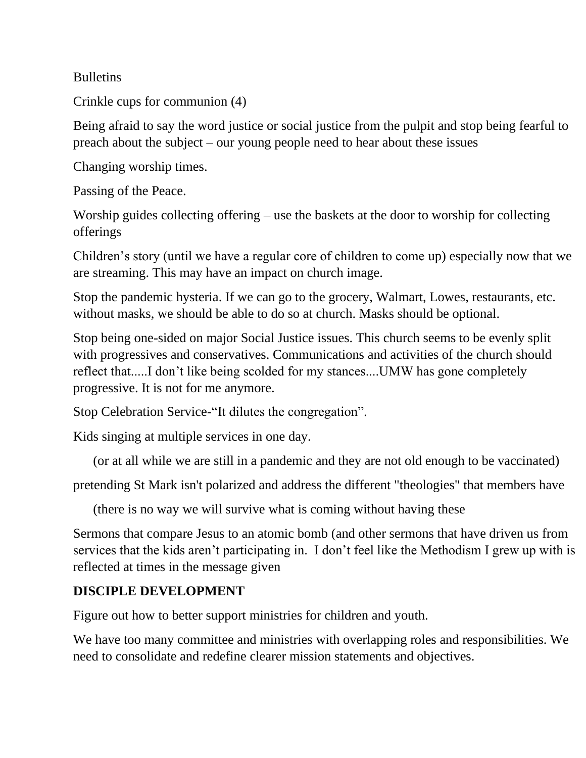**Bulletins** 

Crinkle cups for communion (4)

Being afraid to say the word justice or social justice from the pulpit and stop being fearful to preach about the subject – our young people need to hear about these issues

Changing worship times.

Passing of the Peace.

Worship guides collecting offering – use the baskets at the door to worship for collecting offerings

Children's story (until we have a regular core of children to come up) especially now that we are streaming. This may have an impact on church image.

Stop the pandemic hysteria. If we can go to the grocery, Walmart, Lowes, restaurants, etc. without masks, we should be able to do so at church. Masks should be optional.

Stop being one-sided on major Social Justice issues. This church seems to be evenly split with progressives and conservatives. Communications and activities of the church should reflect that.....I don't like being scolded for my stances....UMW has gone completely progressive. It is not for me anymore.

Stop Celebration Service-"It dilutes the congregation".

Kids singing at multiple services in one day.

(or at all while we are still in a pandemic and they are not old enough to be vaccinated)

pretending St Mark isn't polarized and address the different "theologies" that members have

(there is no way we will survive what is coming without having these

Sermons that compare Jesus to an atomic bomb (and other sermons that have driven us from services that the kids aren't participating in. I don't feel like the Methodism I grew up with is reflected at times in the message given

## **DISCIPLE DEVELOPMENT**

Figure out how to better support ministries for children and youth.

We have too many committee and ministries with overlapping roles and responsibilities. We need to consolidate and redefine clearer mission statements and objectives.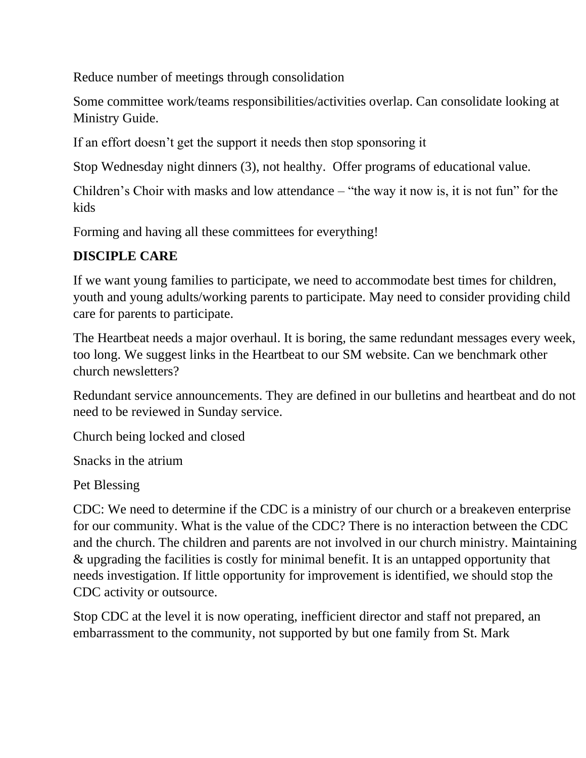Reduce number of meetings through consolidation

Some committee work/teams responsibilities/activities overlap. Can consolidate looking at Ministry Guide.

If an effort doesn't get the support it needs then stop sponsoring it

Stop Wednesday night dinners (3), not healthy. Offer programs of educational value.

Children's Choir with masks and low attendance – "the way it now is, it is not fun" for the kids

Forming and having all these committees for everything!

## **DISCIPLE CARE**

If we want young families to participate, we need to accommodate best times for children, youth and young adults/working parents to participate. May need to consider providing child care for parents to participate.

The Heartbeat needs a major overhaul. It is boring, the same redundant messages every week, too long. We suggest links in the Heartbeat to our SM website. Can we benchmark other church newsletters?

Redundant service announcements. They are defined in our bulletins and heartbeat and do not need to be reviewed in Sunday service.

Church being locked and closed

Snacks in the atrium

Pet Blessing

CDC: We need to determine if the CDC is a ministry of our church or a breakeven enterprise for our community. What is the value of the CDC? There is no interaction between the CDC and the church. The children and parents are not involved in our church ministry. Maintaining & upgrading the facilities is costly for minimal benefit. It is an untapped opportunity that needs investigation. If little opportunity for improvement is identified, we should stop the CDC activity or outsource.

Stop CDC at the level it is now operating, inefficient director and staff not prepared, an embarrassment to the community, not supported by but one family from St. Mark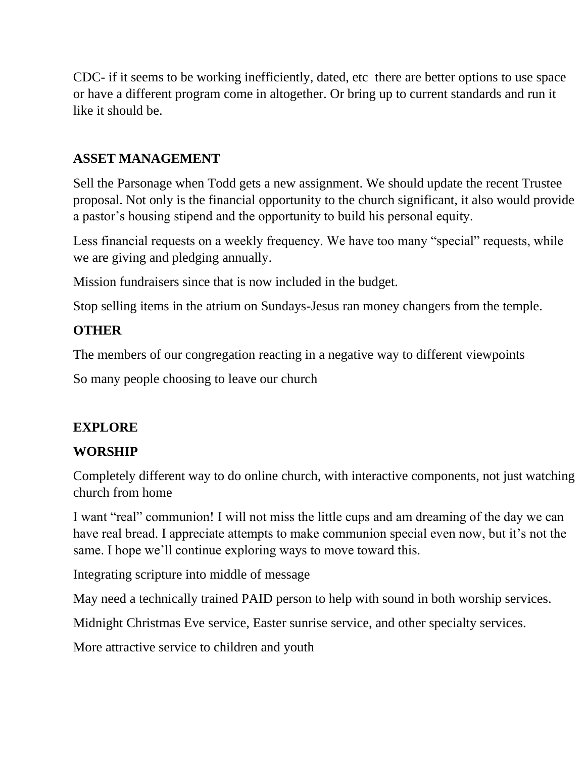CDC- if it seems to be working inefficiently, dated, etc there are better options to use space or have a different program come in altogether. Or bring up to current standards and run it like it should be.

#### **ASSET MANAGEMENT**

Sell the Parsonage when Todd gets a new assignment. We should update the recent Trustee proposal. Not only is the financial opportunity to the church significant, it also would provide a pastor's housing stipend and the opportunity to build his personal equity.

Less financial requests on a weekly frequency. We have too many "special" requests, while we are giving and pledging annually.

Mission fundraisers since that is now included in the budget.

Stop selling items in the atrium on Sundays-Jesus ran money changers from the temple.

## **OTHER**

The members of our congregation reacting in a negative way to different viewpoints

So many people choosing to leave our church

# **EXPLORE**

## **WORSHIP**

Completely different way to do online church, with interactive components, not just watching church from home

I want "real" communion! I will not miss the little cups and am dreaming of the day we can have real bread. I appreciate attempts to make communion special even now, but it's not the same. I hope we'll continue exploring ways to move toward this.

Integrating scripture into middle of message

May need a technically trained PAID person to help with sound in both worship services.

Midnight Christmas Eve service, Easter sunrise service, and other specialty services.

More attractive service to children and youth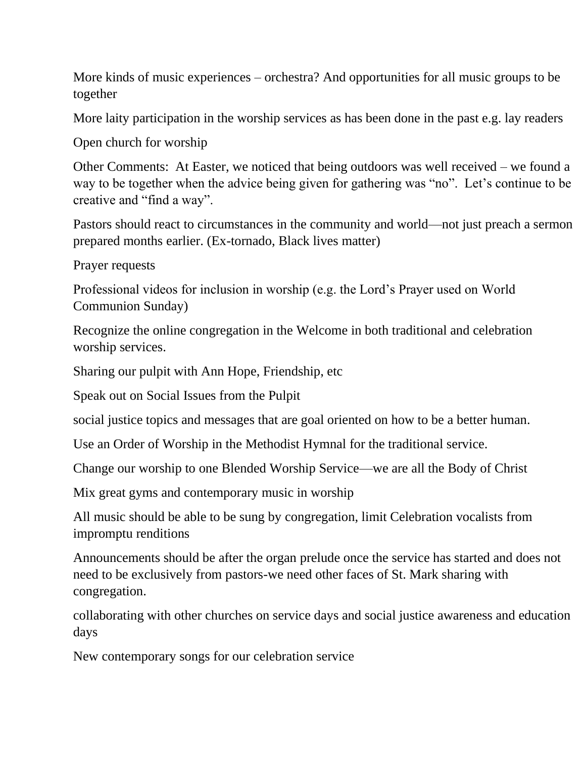More kinds of music experiences – orchestra? And opportunities for all music groups to be together

More laity participation in the worship services as has been done in the past e.g. lay readers

Open church for worship

Other Comments: At Easter, we noticed that being outdoors was well received – we found a way to be together when the advice being given for gathering was "no". Let's continue to be creative and "find a way".

Pastors should react to circumstances in the community and world—not just preach a sermon prepared months earlier. (Ex-tornado, Black lives matter)

Prayer requests

Professional videos for inclusion in worship (e.g. the Lord's Prayer used on World Communion Sunday)

Recognize the online congregation in the Welcome in both traditional and celebration worship services.

Sharing our pulpit with Ann Hope, Friendship, etc

Speak out on Social Issues from the Pulpit

social justice topics and messages that are goal oriented on how to be a better human.

Use an Order of Worship in the Methodist Hymnal for the traditional service.

Change our worship to one Blended Worship Service—we are all the Body of Christ

Mix great gyms and contemporary music in worship

All music should be able to be sung by congregation, limit Celebration vocalists from impromptu renditions

Announcements should be after the organ prelude once the service has started and does not need to be exclusively from pastors-we need other faces of St. Mark sharing with congregation.

collaborating with other churches on service days and social justice awareness and education days

New contemporary songs for our celebration service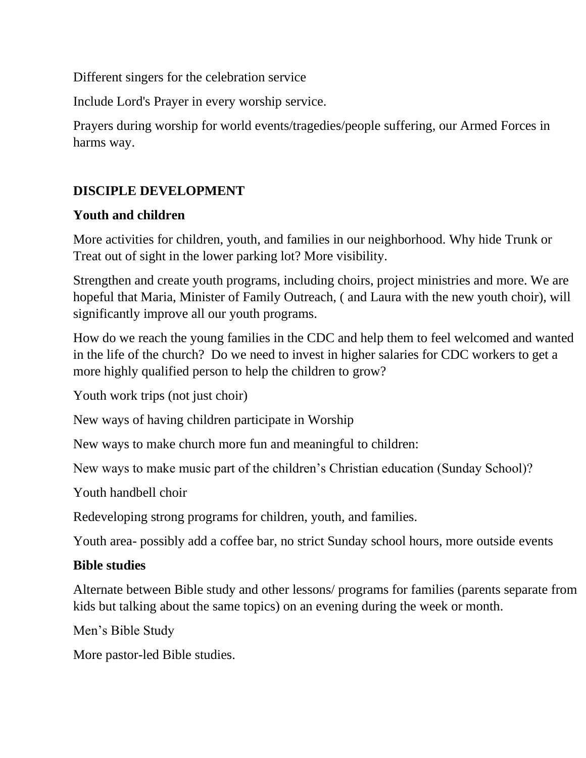Different singers for the celebration service

Include Lord's Prayer in every worship service.

Prayers during worship for world events/tragedies/people suffering, our Armed Forces in harms way.

## **DISCIPLE DEVELOPMENT**

#### **Youth and children**

More activities for children, youth, and families in our neighborhood. Why hide Trunk or Treat out of sight in the lower parking lot? More visibility.

Strengthen and create youth programs, including choirs, project ministries and more. We are hopeful that Maria, Minister of Family Outreach, ( and Laura with the new youth choir), will significantly improve all our youth programs.

How do we reach the young families in the CDC and help them to feel welcomed and wanted in the life of the church? Do we need to invest in higher salaries for CDC workers to get a more highly qualified person to help the children to grow?

Youth work trips (not just choir)

New ways of having children participate in Worship

New ways to make church more fun and meaningful to children:

New ways to make music part of the children's Christian education (Sunday School)?

Youth handbell choir

Redeveloping strong programs for children, youth, and families.

Youth area- possibly add a coffee bar, no strict Sunday school hours, more outside events

#### **Bible studies**

Alternate between Bible study and other lessons/ programs for families (parents separate from kids but talking about the same topics) on an evening during the week or month.

Men's Bible Study

More pastor-led Bible studies.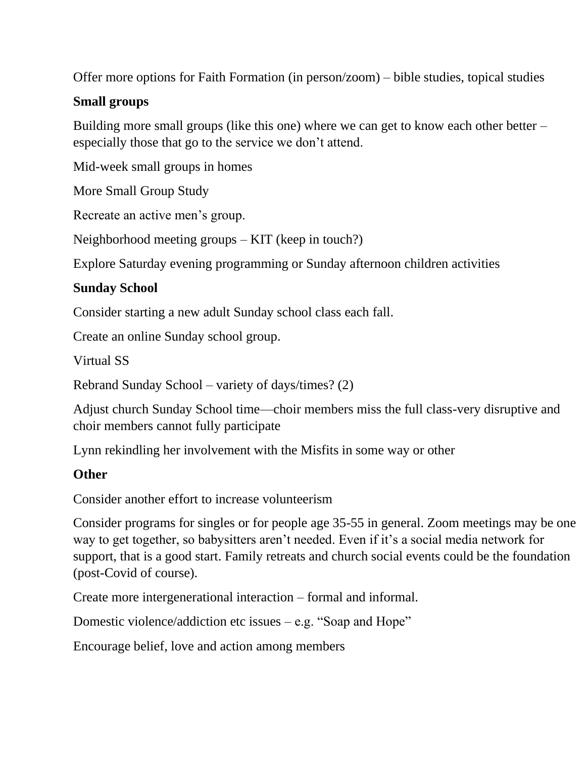Offer more options for Faith Formation (in person/zoom) – bible studies, topical studies

#### **Small groups**

Building more small groups (like this one) where we can get to know each other better – especially those that go to the service we don't attend.

Mid-week small groups in homes

More Small Group Study

Recreate an active men's group.

Neighborhood meeting groups – KIT (keep in touch?)

Explore Saturday evening programming or Sunday afternoon children activities

#### **Sunday School**

Consider starting a new adult Sunday school class each fall.

Create an online Sunday school group.

Virtual SS

Rebrand Sunday School – variety of days/times? (2)

Adjust church Sunday School time—choir members miss the full class-very disruptive and choir members cannot fully participate

Lynn rekindling her involvement with the Misfits in some way or other

#### **Other**

Consider another effort to increase volunteerism

Consider programs for singles or for people age 35-55 in general. Zoom meetings may be one way to get together, so babysitters aren't needed. Even if it's a social media network for support, that is a good start. Family retreats and church social events could be the foundation (post-Covid of course).

Create more intergenerational interaction – formal and informal.

Domestic violence/addiction etc issues – e.g. "Soap and Hope"

Encourage belief, love and action among members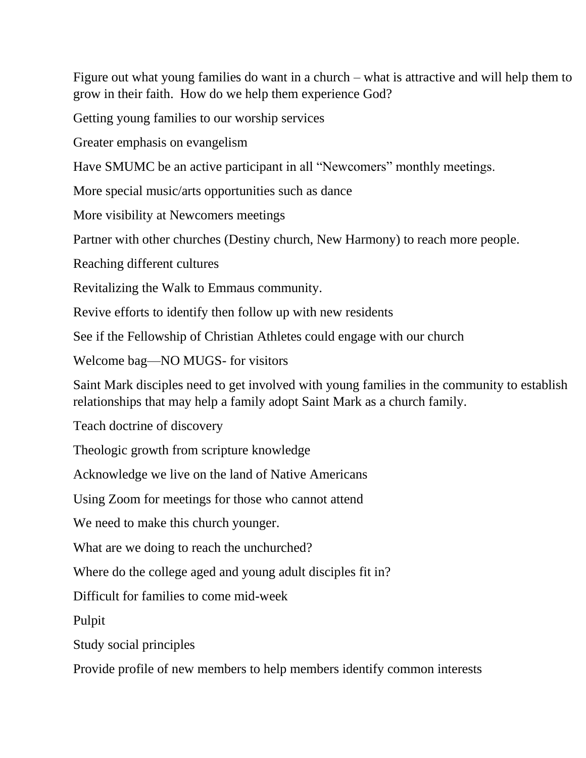Figure out what young families do want in a church – what is attractive and will help them to grow in their faith. How do we help them experience God?

Getting young families to our worship services

Greater emphasis on evangelism

Have SMUMC be an active participant in all "Newcomers" monthly meetings.

More special music/arts opportunities such as dance

More visibility at Newcomers meetings

Partner with other churches (Destiny church, New Harmony) to reach more people.

Reaching different cultures

Revitalizing the Walk to Emmaus community.

Revive efforts to identify then follow up with new residents

See if the Fellowship of Christian Athletes could engage with our church

Welcome bag—NO MUGS- for visitors

Saint Mark disciples need to get involved with young families in the community to establish relationships that may help a family adopt Saint Mark as a church family.

Teach doctrine of discovery

Theologic growth from scripture knowledge

Acknowledge we live on the land of Native Americans

Using Zoom for meetings for those who cannot attend

We need to make this church younger.

What are we doing to reach the unchurched?

Where do the college aged and young adult disciples fit in?

Difficult for families to come mid-week

Pulpit

Study social principles

Provide profile of new members to help members identify common interests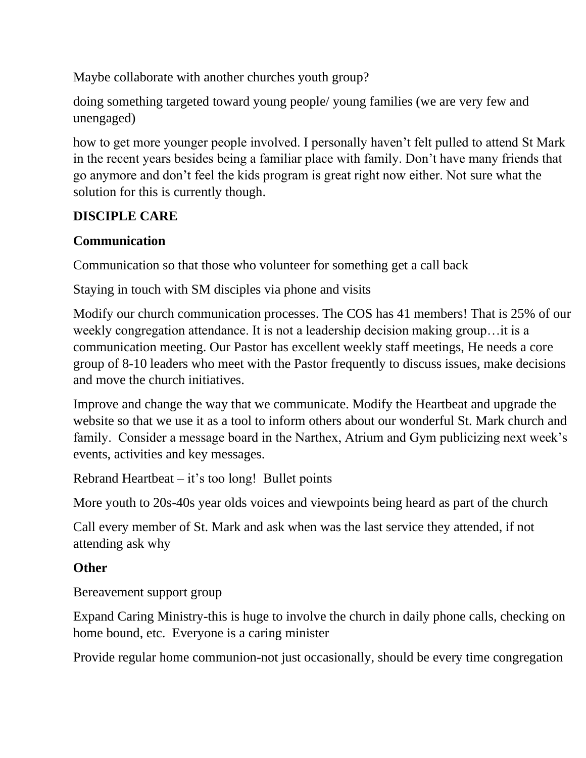Maybe collaborate with another churches youth group?

doing something targeted toward young people/ young families (we are very few and unengaged)

how to get more younger people involved. I personally haven't felt pulled to attend St Mark in the recent years besides being a familiar place with family. Don't have many friends that go anymore and don't feel the kids program is great right now either. Not sure what the solution for this is currently though.

# **DISCIPLE CARE**

## **Communication**

Communication so that those who volunteer for something get a call back

Staying in touch with SM disciples via phone and visits

Modify our church communication processes. The COS has 41 members! That is 25% of our weekly congregation attendance. It is not a leadership decision making group…it is a communication meeting. Our Pastor has excellent weekly staff meetings, He needs a core group of 8-10 leaders who meet with the Pastor frequently to discuss issues, make decisions and move the church initiatives.

Improve and change the way that we communicate. Modify the Heartbeat and upgrade the website so that we use it as a tool to inform others about our wonderful St. Mark church and family. Consider a message board in the Narthex, Atrium and Gym publicizing next week's events, activities and key messages.

Rebrand Heartbeat – it's too long! Bullet points

More youth to 20s-40s year olds voices and viewpoints being heard as part of the church

Call every member of St. Mark and ask when was the last service they attended, if not attending ask why

## **Other**

Bereavement support group

Expand Caring Ministry-this is huge to involve the church in daily phone calls, checking on home bound, etc. Everyone is a caring minister

Provide regular home communion-not just occasionally, should be every time congregation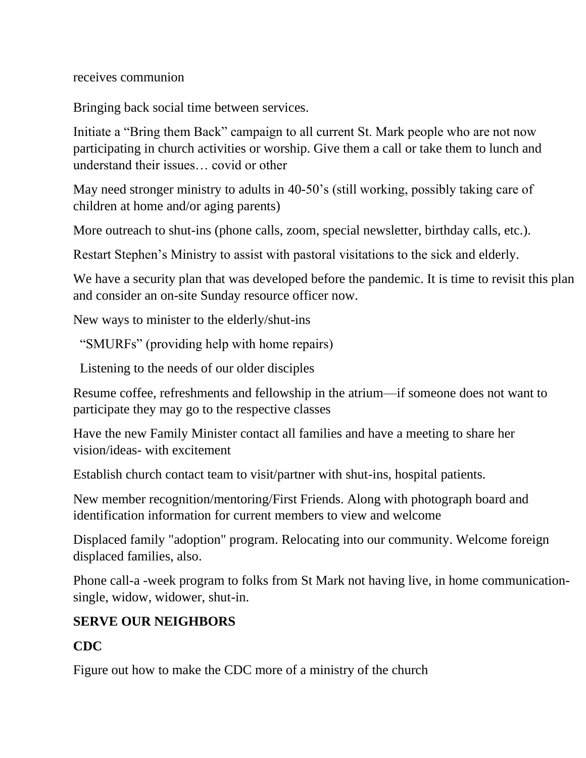receives communion

Bringing back social time between services.

Initiate a "Bring them Back" campaign to all current St. Mark people who are not now participating in church activities or worship. Give them a call or take them to lunch and understand their issues… covid or other

May need stronger ministry to adults in 40-50's (still working, possibly taking care of children at home and/or aging parents)

More outreach to shut-ins (phone calls, zoom, special newsletter, birthday calls, etc.).

Restart Stephen's Ministry to assist with pastoral visitations to the sick and elderly.

We have a security plan that was developed before the pandemic. It is time to revisit this plan and consider an on-site Sunday resource officer now.

New ways to minister to the elderly/shut-ins

"SMURFs" (providing help with home repairs)

Listening to the needs of our older disciples

Resume coffee, refreshments and fellowship in the atrium—if someone does not want to participate they may go to the respective classes

Have the new Family Minister contact all families and have a meeting to share her vision/ideas- with excitement

Establish church contact team to visit/partner with shut-ins, hospital patients.

New member recognition/mentoring/First Friends. Along with photograph board and identification information for current members to view and welcome

Displaced family "adoption" program. Relocating into our community. Welcome foreign displaced families, also.

Phone call-a -week program to folks from St Mark not having live, in home communicationsingle, widow, widower, shut-in.

# **SERVE OUR NEIGHBORS**

# **CDC**

Figure out how to make the CDC more of a ministry of the church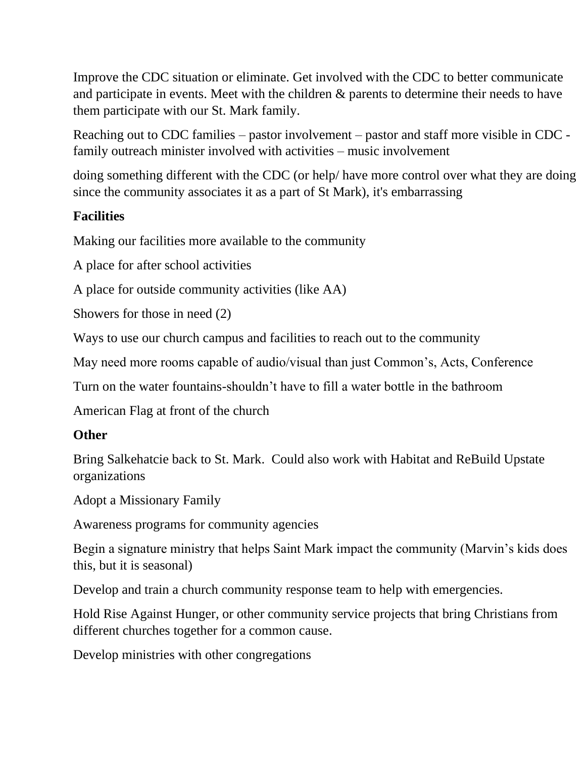Improve the CDC situation or eliminate. Get involved with the CDC to better communicate and participate in events. Meet with the children & parents to determine their needs to have them participate with our St. Mark family.

Reaching out to CDC families – pastor involvement – pastor and staff more visible in CDC family outreach minister involved with activities – music involvement

doing something different with the CDC (or help/ have more control over what they are doing since the community associates it as a part of St Mark), it's embarrassing

## **Facilities**

Making our facilities more available to the community

A place for after school activities

A place for outside community activities (like AA)

Showers for those in need (2)

Ways to use our church campus and facilities to reach out to the community

May need more rooms capable of audio/visual than just Common's, Acts, Conference

Turn on the water fountains-shouldn't have to fill a water bottle in the bathroom

American Flag at front of the church

#### **Other**

Bring Salkehatcie back to St. Mark. Could also work with Habitat and ReBuild Upstate organizations

Adopt a Missionary Family

Awareness programs for community agencies

Begin a signature ministry that helps Saint Mark impact the community (Marvin's kids does this, but it is seasonal)

Develop and train a church community response team to help with emergencies.

Hold Rise Against Hunger, or other community service projects that bring Christians from different churches together for a common cause.

Develop ministries with other congregations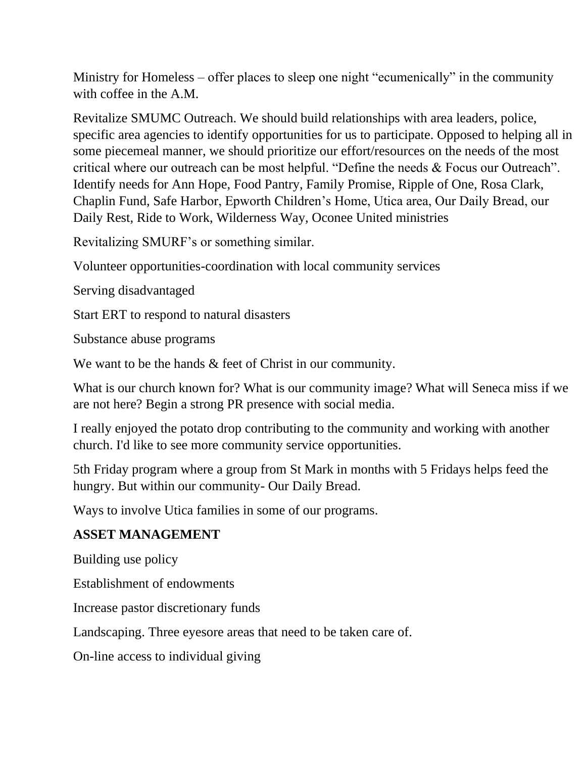Ministry for Homeless – offer places to sleep one night "ecumenically" in the community with coffee in the A.M.

Revitalize SMUMC Outreach. We should build relationships with area leaders, police, specific area agencies to identify opportunities for us to participate. Opposed to helping all in some piecemeal manner, we should prioritize our effort/resources on the needs of the most critical where our outreach can be most helpful. "Define the needs & Focus our Outreach". Identify needs for Ann Hope, Food Pantry, Family Promise, Ripple of One, Rosa Clark, Chaplin Fund, Safe Harbor, Epworth Children's Home, Utica area, Our Daily Bread, our Daily Rest, Ride to Work, Wilderness Way, Oconee United ministries

Revitalizing SMURF's or something similar.

Volunteer opportunities-coordination with local community services

Serving disadvantaged

Start ERT to respond to natural disasters

Substance abuse programs

We want to be the hands  $\&$  feet of Christ in our community.

What is our church known for? What is our community image? What will Seneca miss if we are not here? Begin a strong PR presence with social media.

I really enjoyed the potato drop contributing to the community and working with another church. I'd like to see more community service opportunities.

5th Friday program where a group from St Mark in months with 5 Fridays helps feed the hungry. But within our community- Our Daily Bread.

Ways to involve Utica families in some of our programs.

#### **ASSET MANAGEMENT**

Building use policy

Establishment of endowments

Increase pastor discretionary funds

Landscaping. Three eyesore areas that need to be taken care of.

On-line access to individual giving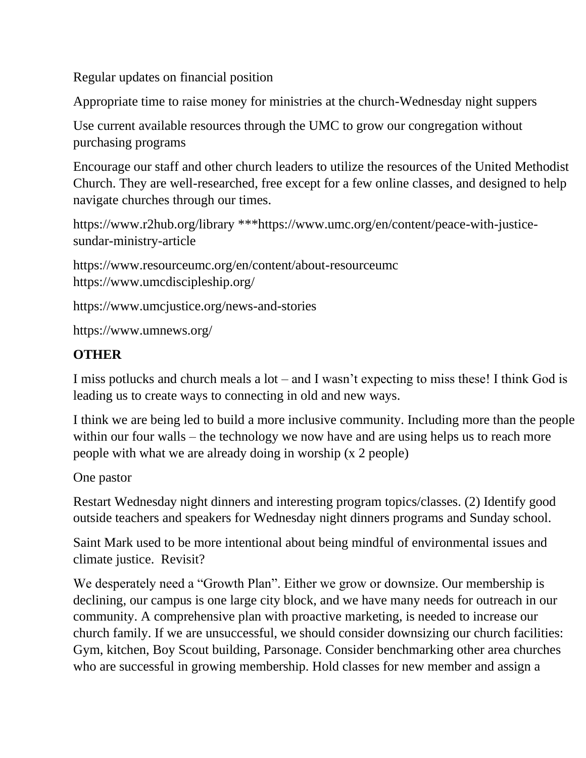Regular updates on financial position

Appropriate time to raise money for ministries at the church-Wednesday night suppers

Use current available resources through the UMC to grow our congregation without purchasing programs

Encourage our staff and other church leaders to utilize the resources of the United Methodist Church. They are well-researched, free except for a few online classes, and designed to help navigate churches through our times.

```
https://www.r2hub.org/library ***https://www.umc.org/en/content/peace-with-justice-
sundar-ministry-article
```
https://www.resourceumc.org/en/content/about-resourceumc https://www.umcdiscipleship.org/

<https://www.umcjustice.org/news-and-stories>

```
https://www.umnews.org/
```
# **OTHER**

I miss potlucks and church meals a lot – and I wasn't expecting to miss these! I think God is leading us to create ways to connecting in old and new ways.

I think we are being led to build a more inclusive community. Including more than the people within our four walls – the technology we now have and are using helps us to reach more people with what we are already doing in worship (x 2 people)

One pastor

Restart Wednesday night dinners and interesting program topics/classes. (2) Identify good outside teachers and speakers for Wednesday night dinners programs and Sunday school.

Saint Mark used to be more intentional about being mindful of environmental issues and climate justice. Revisit?

We desperately need a "Growth Plan". Either we grow or downsize. Our membership is declining, our campus is one large city block, and we have many needs for outreach in our community. A comprehensive plan with proactive marketing, is needed to increase our church family. If we are unsuccessful, we should consider downsizing our church facilities: Gym, kitchen, Boy Scout building, Parsonage. Consider benchmarking other area churches who are successful in growing membership. Hold classes for new member and assign a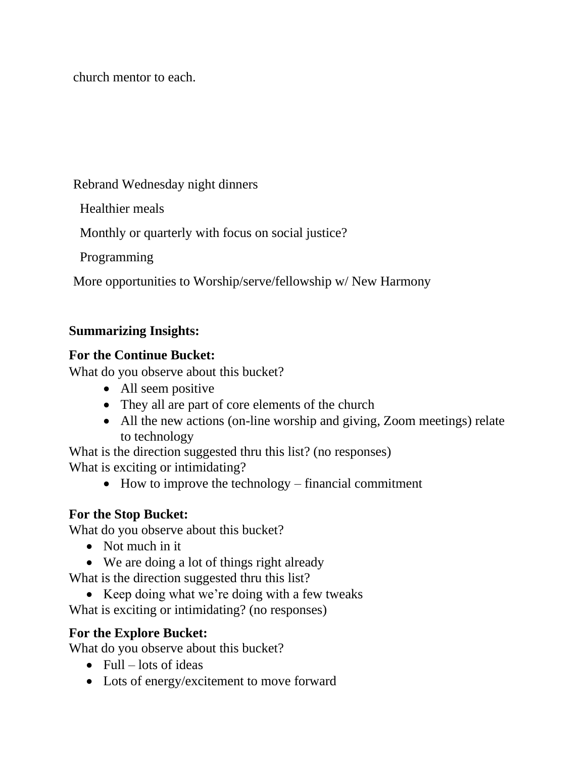church mentor to each.

Rebrand Wednesday night dinners

Healthier meals

Monthly or quarterly with focus on social justice?

Programming

More opportunities to Worship/serve/fellowship w/ New Harmony

## **Summarizing Insights:**

### **For the Continue Bucket:**

What do you observe about this bucket?

- All seem positive
- They all are part of core elements of the church
- All the new actions (on-line worship and giving, Zoom meetings) relate to technology

What is the direction suggested thru this list? (no responses) What is exciting or intimidating?

• How to improve the technology – financial commitment

## **For the Stop Bucket:**

What do you observe about this bucket?

- Not much in it
- We are doing a lot of things right already

What is the direction suggested thru this list?

• Keep doing what we're doing with a few tweaks

What is exciting or intimidating? (no responses)

## **For the Explore Bucket:**

What do you observe about this bucket?

- Full lots of ideas
- Lots of energy/excitement to move forward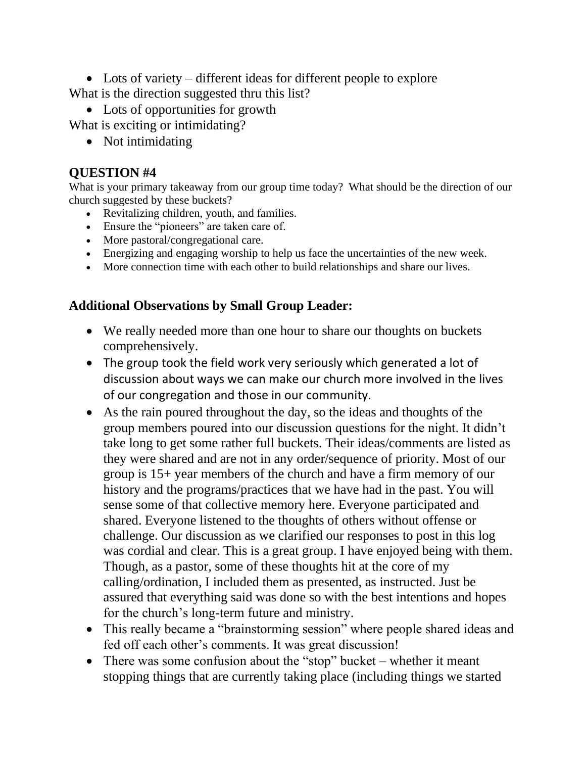• Lots of variety – different ideas for different people to explore What is the direction suggested thru this list?

• Lots of opportunities for growth

What is exciting or intimidating?

• Not intimidating

#### **QUESTION #4**

What is your primary takeaway from our group time today? What should be the direction of our church suggested by these buckets?

- Revitalizing children, youth, and families.
- Ensure the "pioneers" are taken care of.
- More pastoral/congregational care.
- Energizing and engaging worship to help us face the uncertainties of the new week.
- More connection time with each other to build relationships and share our lives.

#### **Additional Observations by Small Group Leader:**

- We really needed more than one hour to share our thoughts on buckets comprehensively.
- The group took the field work very seriously which generated a lot of discussion about ways we can make our church more involved in the lives of our congregation and those in our community.
- As the rain poured throughout the day, so the ideas and thoughts of the group members poured into our discussion questions for the night. It didn't take long to get some rather full buckets. Their ideas/comments are listed as they were shared and are not in any order/sequence of priority. Most of our group is 15+ year members of the church and have a firm memory of our history and the programs/practices that we have had in the past. You will sense some of that collective memory here. Everyone participated and shared. Everyone listened to the thoughts of others without offense or challenge. Our discussion as we clarified our responses to post in this log was cordial and clear. This is a great group. I have enjoyed being with them. Though, as a pastor, some of these thoughts hit at the core of my calling/ordination, I included them as presented, as instructed. Just be assured that everything said was done so with the best intentions and hopes for the church's long-term future and ministry.
- This really became a "brainstorming session" where people shared ideas and fed off each other's comments. It was great discussion!
- There was some confusion about the "stop" bucket whether it meant stopping things that are currently taking place (including things we started